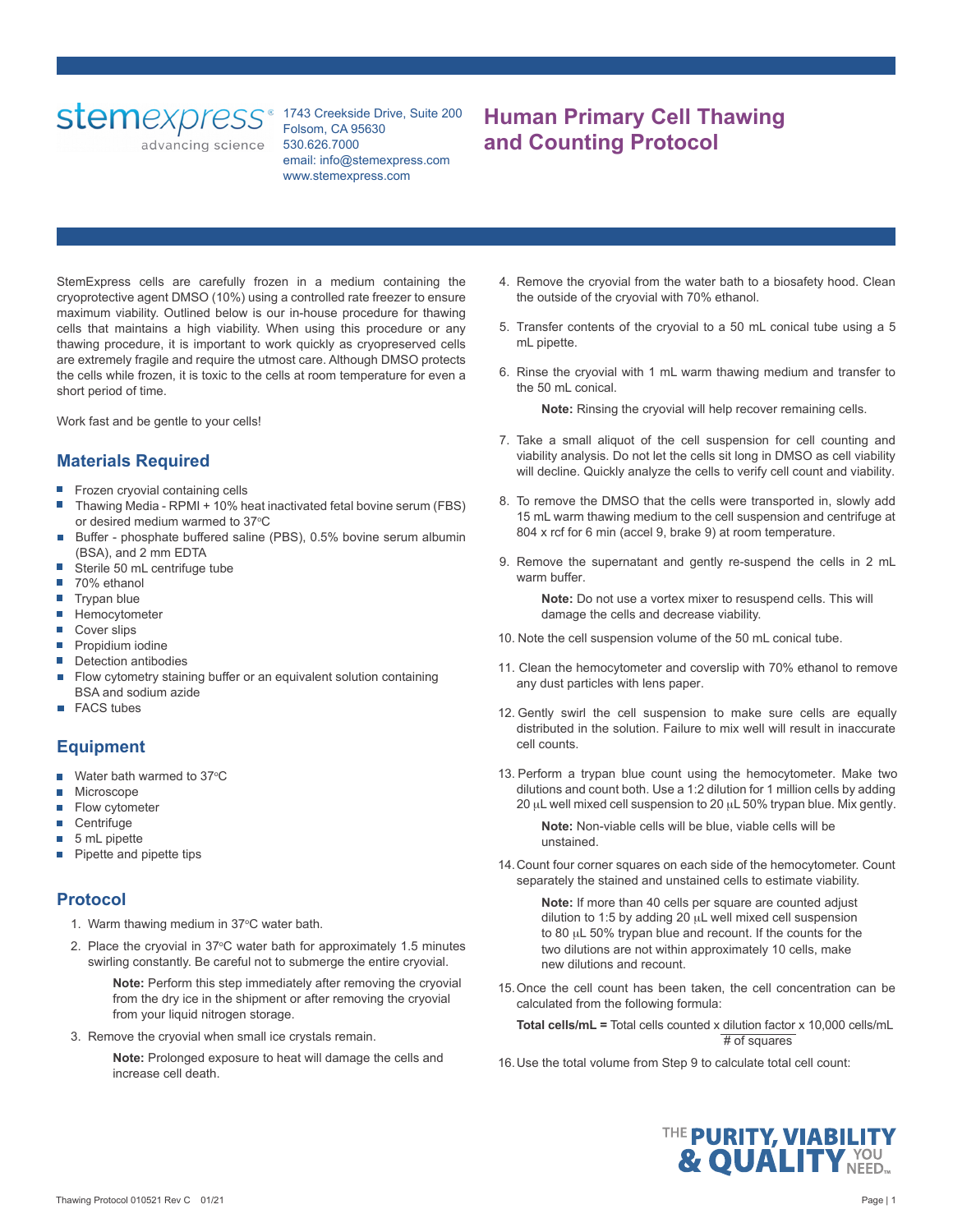advancing science

1743 Creekside Drive, Suite 200 Folsom, CA 95630 530.626.7000 email: info@stemexpress.com www.stemexpress.com

# **Human Primary Cell Thawing and Counting Protocol**

StemExpress cells are carefully frozen in a medium containing the cryoprotective agent DMSO (10%) using a controlled rate freezer to ensure maximum viability. Outlined below is our in-house procedure for thawing cells that maintains a high viability. When using this procedure or any thawing procedure, it is important to work quickly as cryopreserved cells are extremely fragile and require the utmost care. Although DMSO protects the cells while frozen, it is toxic to the cells at room temperature for even a short period of time.

Work fast and be gentle to your cells!

## **Materials Required**

- Frozen cryovial containing cells
- Thawing Media RPMI + 10% heat inactivated fetal bovine serum (FBS) or desired medium warmed to 37°C
- Buffer phosphate buffered saline (PBS), 0.5% bovine serum albumin Ħ (BSA), and 2 mm EDTA
- Sterile 50 mL centrifuge tube
- П 70% ethanol
- $\overline{\phantom{a}}$ Trypan blue
- **Hemocytometer**
- Cover slips
- **Propidium iodine**
- Detection antibodies
- Flow cytometry staining buffer or an equivalent solution containing BSA and sodium azide
- FACS tubes

### **Equipment**

- Water bath warmed to 37°C
- Microscope
- П Flow cytometer
- **Centrifuge** П
- 5 mL pipette
- Pipette and pipette tips

### **Protocol**

- 1. Warm thawing medium in 37°C water bath.
- 2. Place the cryovial in 37°C water bath for approximately 1.5 minutes swirling constantly. Be careful not to submerge the entire cryovial.

**Note:** Perform this step immediately after removing the cryovial from the dry ice in the shipment or after removing the cryovial from your liquid nitrogen storage.

3. Remove the cryovial when small ice crystals remain.

**Note:** Prolonged exposure to heat will damage the cells and increase cell death.

- 4. Remove the cryovial from the water bath to a biosafety hood. Clean the outside of the cryovial with 70% ethanol.
- 5. Transfer contents of the cryovial to a 50 mL conical tube using a 5 mL pipette.
- 6. Rinse the cryovial with 1 mL warm thawing medium and transfer to the 50 mL conical.

**Note:** Rinsing the cryovial will help recover remaining cells.

- 7. Take a small aliquot of the cell suspension for cell counting and viability analysis. Do not let the cells sit long in DMSO as cell viability will decline. Quickly analyze the cells to verify cell count and viability.
- 8. To remove the DMSO that the cells were transported in, slowly add 15 mL warm thawing medium to the cell suspension and centrifuge at 804 x rcf for 6 min (accel 9, brake 9) at room temperature.
- 9. Remove the supernatant and gently re-suspend the cells in 2 mL warm buffer.

**Note:** Do not use a vortex mixer to resuspend cells. This will damage the cells and decrease viability.

- 10. Note the cell suspension volume of the 50 mL conical tube.
- 11. Clean the hemocytometer and coverslip with 70% ethanol to remove any dust particles with lens paper.
- 12. Gently swirl the cell suspension to make sure cells are equally distributed in the solution. Failure to mix well will result in inaccurate cell counts.
- 13. Perform a trypan blue count using the hemocytometer. Make two dilutions and count both. Use a 1:2 dilution for 1 million cells by adding 20  $\mu$ L well mixed cell suspension to 20  $\mu$ L 50% trypan blue. Mix gently.

**Note:** Non-viable cells will be blue, viable cells will be unstained.

14.Count four corner squares on each side of the hemocytometer. Count separately the stained and unstained cells to estimate viability.

> **Note:** If more than 40 cells per square are counted adjust dilution to 1:5 by adding 20  $\mu$ L well mixed cell suspension to 80  $\mu$ L 50% trypan blue and recount. If the counts for the two dilutions are not within approximately 10 cells, make new dilutions and recount.

15.Once the cell count has been taken, the cell concentration can be calculated from the following formula:

**Total cells/mL =** Total cells counted x dilution factor x 10,000 cells/mL # of squares

16.Use the total volume from Step 9 to calculate total cell count: